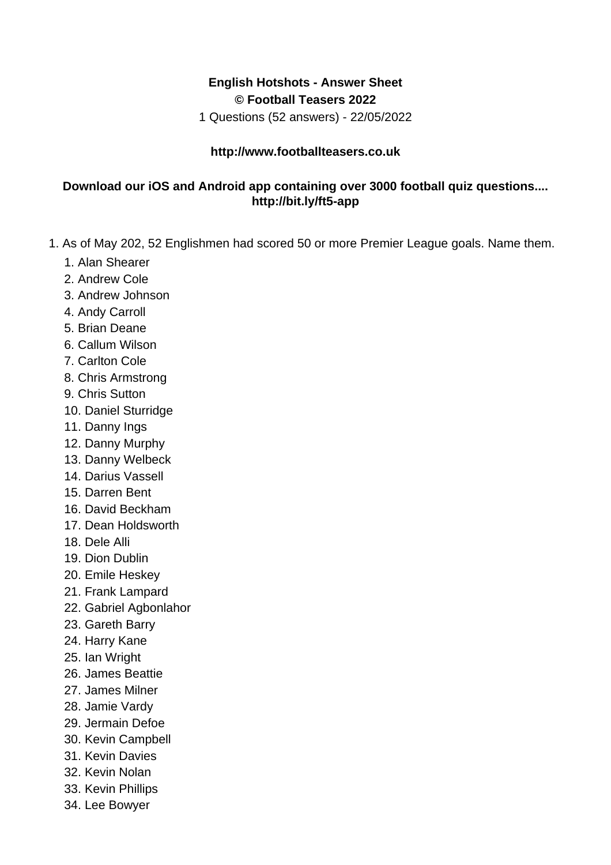## **English Hotshots - Answer Sheet © Football Teasers 2022**

1 Questions (52 answers) - 22/05/2022

## **http://www.footballteasers.co.uk**

## **Download our iOS and Android app containing over 3000 football quiz questions.... http://bit.ly/ft5-app**

- 1. As of May 202, 52 Englishmen had scored 50 or more Premier League goals. Name them.
	- 1. Alan Shearer
	- 2. Andrew Cole
	- 3. Andrew Johnson
	- 4. Andy Carroll
	- 5. Brian Deane
	- 6. Callum Wilson
	- 7. Carlton Cole
	- 8. Chris Armstrong
	- 9. Chris Sutton
	- 10. Daniel Sturridge
	- 11. Danny Ings
	- 12. Danny Murphy
	- 13. Danny Welbeck
	- 14. Darius Vassell
	- 15. Darren Bent
	- 16. David Beckham
	- 17. Dean Holdsworth
	- 18. Dele Alli
	- 19. Dion Dublin
	- 20. Emile Heskey
	- 21. Frank Lampard
	- 22. Gabriel Agbonlahor
	- 23. Gareth Barry
	- 24. Harry Kane
	- 25. Ian Wright
	- 26. James Beattie
	- 27. James Milner
	- 28. Jamie Vardy
	- 29. Jermain Defoe
	- 30. Kevin Campbell
	- 31. Kevin Davies
	- 32. Kevin Nolan
	- 33. Kevin Phillips
	- 34. Lee Bowyer